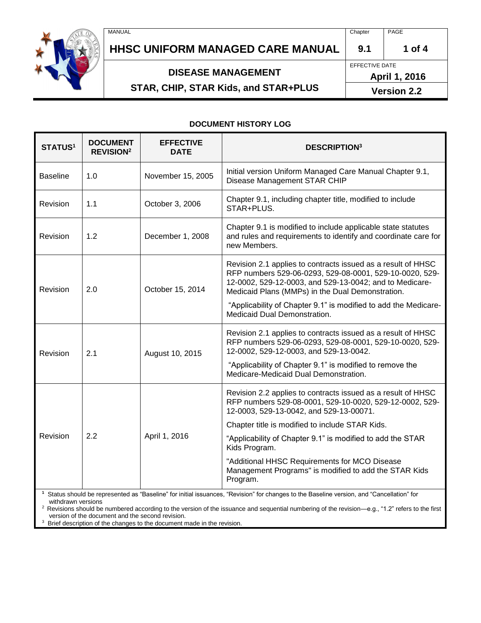# **HHSC UNIFORM MANAGED CARE MANUAL 9.1 1 of 4**

## **DISEASE MANAGEMENT**

# **STAR, CHIP, STAR Kids, and STAR+PLUS**

**April 1, 2016**

**Version 2.2**

#### **DOCUMENT HISTORY LOG**

| <b>STATUS1</b>  | <b>DOCUMENT</b><br><b>REVISION<sup>2</sup></b> | <b>EFFECTIVE</b><br><b>DATE</b> | <b>DESCRIPTION3</b>                                                                                                                                                                                                                    |
|-----------------|------------------------------------------------|---------------------------------|----------------------------------------------------------------------------------------------------------------------------------------------------------------------------------------------------------------------------------------|
| <b>Baseline</b> | 1.0                                            | November 15, 2005               | Initial version Uniform Managed Care Manual Chapter 9.1,<br>Disease Management STAR CHIP                                                                                                                                               |
| Revision        | 1.1                                            | October 3, 2006                 | Chapter 9.1, including chapter title, modified to include<br>STAR+PLUS.                                                                                                                                                                |
| Revision        | 1.2                                            | December 1, 2008                | Chapter 9.1 is modified to include applicable state statutes<br>and rules and requirements to identify and coordinate care for<br>new Members.                                                                                         |
| Revision        | 2.0                                            | October 15, 2014                | Revision 2.1 applies to contracts issued as a result of HHSC<br>RFP numbers 529-06-0293, 529-08-0001, 529-10-0020, 529-<br>12-0002, 529-12-0003, and 529-13-0042; and to Medicare-<br>Medicaid Plans (MMPs) in the Dual Demonstration. |
|                 |                                                |                                 | "Applicability of Chapter 9.1" is modified to add the Medicare-<br>Medicaid Dual Demonstration.                                                                                                                                        |
| Revision        | 2.1                                            | August 10, 2015                 | Revision 2.1 applies to contracts issued as a result of HHSC<br>RFP numbers 529-06-0293, 529-08-0001, 529-10-0020, 529-<br>12-0002, 529-12-0003, and 529-13-0042.                                                                      |
|                 |                                                |                                 | "Applicability of Chapter 9.1" is modified to remove the<br>Medicare-Medicaid Dual Demonstration.                                                                                                                                      |
| Revision        | 2.2                                            | April 1, 2016                   | Revision 2.2 applies to contracts issued as a result of HHSC<br>RFP numbers 529-08-0001, 529-10-0020, 529-12-0002, 529-<br>12-0003, 529-13-0042, and 529-13-00071.                                                                     |
|                 |                                                |                                 | Chapter title is modified to include STAR Kids.                                                                                                                                                                                        |
|                 |                                                |                                 | "Applicability of Chapter 9.1" is modified to add the STAR<br>Kids Program.                                                                                                                                                            |
|                 |                                                |                                 | "Additional HHSC Requirements for MCO Disease<br>Management Programs" is modified to add the STAR Kids<br>Program.                                                                                                                     |
|                 |                                                |                                 | $\sim$ $\sim$ $\sim$ $\sim$ $\sim$ $\sim$ $\sim$                                                                                                                                                                                       |

**1** Status should be represented as "Baseline" for initial issuances, "Revision" for changes to the Baseline version, and "Cancellation" for withdrawn versions

<sup>2</sup>Revisions should be numbered according to the version of the issuance and sequential numbering of the revision—e.g., "1.2" refers to the first version of the document and the second revision.

<sup>3</sup> Brief description of the changes to the document made in the revision.



EFFECTIVE DATE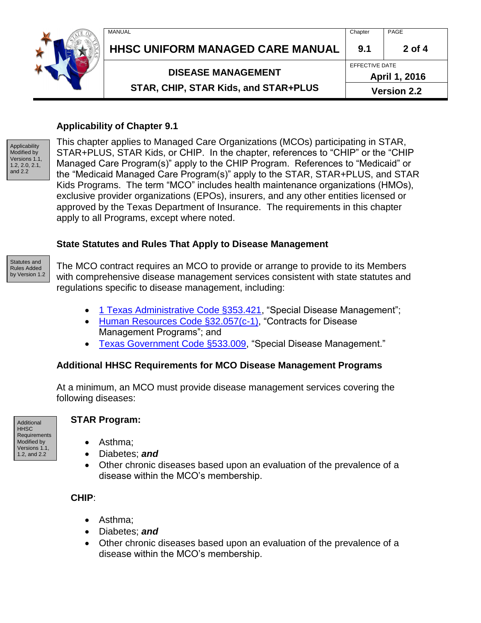|  | MANUAL                                                            | Chapter | PAGE                            |  |
|--|-------------------------------------------------------------------|---------|---------------------------------|--|
|  | HHSC UNIFORM MANAGED CARE MANUAL                                  | 9.1     | $2$ of 4                        |  |
|  | <b>DISEASE MANAGEMENT</b><br>STAR, CHIP, STAR Kids, and STAR+PLUS |         | EFFECTIVE DATE<br>April 1, 2016 |  |
|  |                                                                   |         | <b>Version 2.2</b>              |  |

#### **Applicability of Chapter 9.1**



This chapter applies to Managed Care Organizations (MCOs) participating in STAR, STAR+PLUS, STAR Kids, or CHIP. In the chapter, references to "CHIP" or the "CHIP Managed Care Program(s)" apply to the CHIP Program. References to "Medicaid" or the "Medicaid Managed Care Program(s)" apply to the STAR, STAR+PLUS, and STAR Kids Programs. The term "MCO" includes health maintenance organizations (HMOs), exclusive provider organizations (EPOs), insurers, and any other entities licensed or approved by the Texas Department of Insurance. The requirements in this chapter apply to all Programs, except where noted.

#### **State Statutes and Rules That Apply to Disease Management**



The MCO contract requires an MCO to provide or arrange to provide to its Members with comprehensive disease management services consistent with state statutes and regulations specific to disease management, including:

- [1 Texas Administrative Code §353.421,](http://info.sos.state.tx.us/pls/pub/readtac$ext.TacPage?sl=R&app=9&p_dir=&p_rloc=&p_tloc=&p_ploc=&pg=1&p_tac=&ti=1&pt=15&ch=353&rl=421) "Special Disease Management";
- [Human Resources Code §32.057\(c-1\),](http://www.statutes.legis.state.tx.us/Docs/HR/htm/HR.32.htm#32.057) "Contracts for Disease Management Programs"; and
- [Texas Government Code §533.009,](http://www.statutes.legis.state.tx.us/Docs/GV/htm/GV.533.htm#533.009) "Special Disease Management."

## **Additional HHSC Requirements for MCO Disease Management Programs**

At a minimum, an MCO must provide disease management services covering the following diseases:

Additional HHSC **Requirements** Modified by Versions 1.1, 1.2, and 2.2

#### **STAR Program:**

- Asthma:
- Diabetes; *and*
- Other chronic diseases based upon an evaluation of the prevalence of a disease within the MCO's membership.

#### **CHIP**:

- Asthma:
- Diabetes; *and*
- Other chronic diseases based upon an evaluation of the prevalence of a disease within the MCO's membership.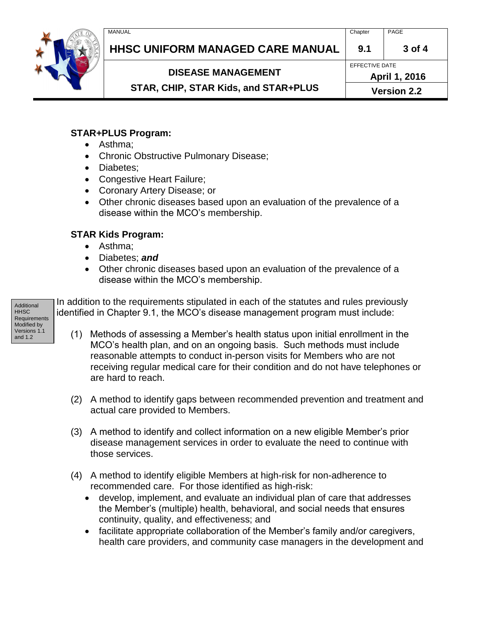

# **HHSC UNIFORM MANAGED CARE MANUAL 9.1 3 of 4**

**DISEASE MANAGEMENT** 

EFFECTIVE DATE

**STAR, CHIP, STAR Kids, and STAR+PLUS** 

**April 1, 2016 Version 2.2**

## **STAR+PLUS Program:**

- Asthma;
- Chronic Obstructive Pulmonary Disease;
- Diabetes;
- Congestive Heart Failure;
- Coronary Artery Disease; or
- Other chronic diseases based upon an evaluation of the prevalence of a disease within the MCO's membership.

## **STAR Kids Program:**

- Asthma:
- Diabetes; *and*
- Other chronic diseases based upon an evaluation of the prevalence of a disease within the MCO's membership.

In addition to the requirements stipulated in each of the statutes and rules previously identified in Chapter 9.1, the MCO's disease management program must include:

- (1) Methods of assessing a Member's health status upon initial enrollment in the MCO's health plan, and on an ongoing basis. Such methods must include reasonable attempts to conduct in-person visits for Members who are not receiving regular medical care for their condition and do not have telephones or are hard to reach.
- (2) A method to identify gaps between recommended prevention and treatment and actual care provided to Members.
- (3) A method to identify and collect information on a new eligible Member's prior disease management services in order to evaluate the need to continue with those services.
- (4) A method to identify eligible Members at high-risk for non-adherence to recommended care. For those identified as high-risk:
	- develop, implement, and evaluate an individual plan of care that addresses the Member's (multiple) health, behavioral, and social needs that ensures continuity, quality, and effectiveness; and
	- facilitate appropriate collaboration of the Member's family and/or caregivers, health care providers, and community case managers in the development and